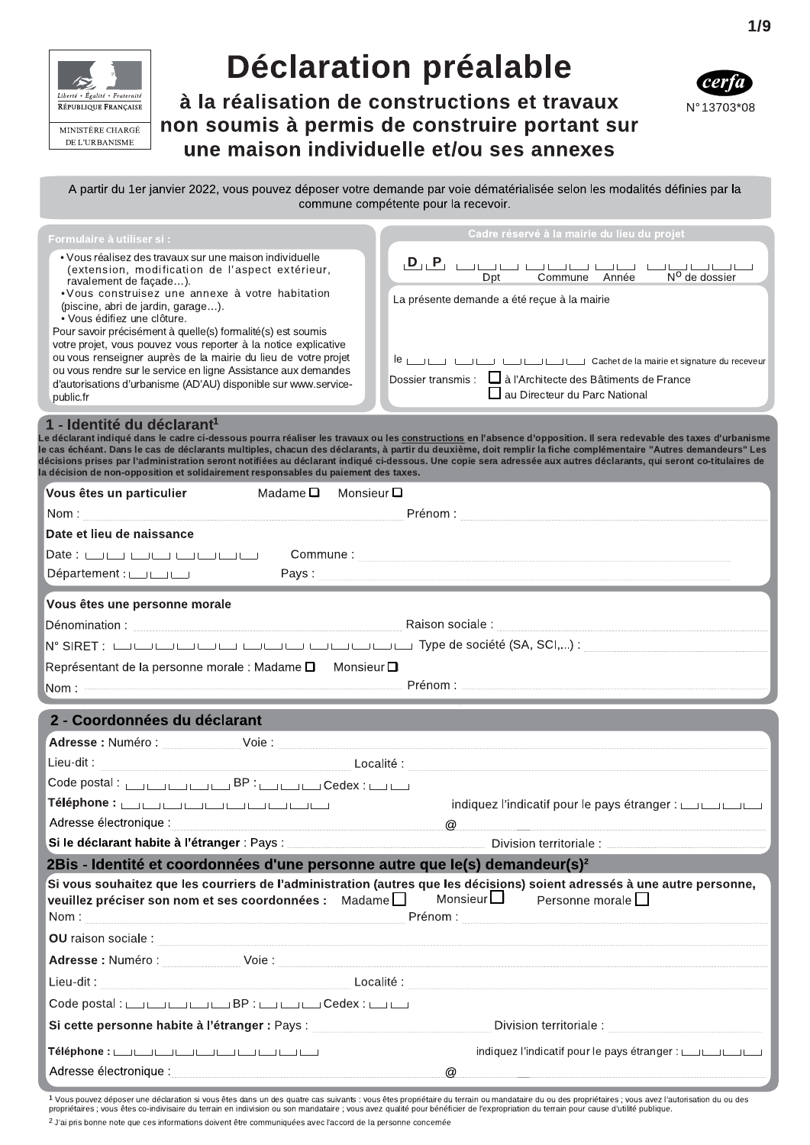

# **Déclaration préalable**

à la réalisation de constructions et travaux non soumis à permis de construire portant sur une maison individuelle et/ou ses annexes



A partir du 1er janvier 2022, vous pouvez déposer votre demande par voie dématérialisée selon les modalités définies par la commune compétente pour la recevoir.

| Formulaire à utiliser si :                                                                                                                                                                                                                                                                                                                                                                                                                                                                                                                                                                                          | Cadre réservé à la mairie du lieu du projet                                                                                                                                                                                                                            |
|---------------------------------------------------------------------------------------------------------------------------------------------------------------------------------------------------------------------------------------------------------------------------------------------------------------------------------------------------------------------------------------------------------------------------------------------------------------------------------------------------------------------------------------------------------------------------------------------------------------------|------------------------------------------------------------------------------------------------------------------------------------------------------------------------------------------------------------------------------------------------------------------------|
| • Vous réalisez des travaux sur une maison individuelle<br>(extension, modification de l'aspect extérieur,<br>ravalement de façade).<br>• Vous construisez une annexe à votre habitation<br>(piscine, abri de jardin, garage).<br>• Vous édifiez une clôture.<br>Pour savoir précisément à quelle(s) formalité(s) est soumis<br>votre projet, vous pouvez vous reporter à la notice explicative<br>ou vous renseigner auprès de la mairie du lieu de votre projet<br>ou vous rendre sur le service en ligne Assistance aux demandes<br>d'autorisations d'urbanisme (AD'AU) disponible sur www.service-<br>public.fr | $D_{11} P$<br>N <sup>O</sup> de dossier<br>Année<br>Commune<br>Dpt<br>La présente demande a été reçue à la mairie<br>Cachet de la mairie et signature du receveur<br>Dossier transmis : $\Box$ à l'Architecte des Bâtiments de France<br>au Directeur du Parc National |
|                                                                                                                                                                                                                                                                                                                                                                                                                                                                                                                                                                                                                     |                                                                                                                                                                                                                                                                        |

#### 1 - Identité du déclarant<sup>1</sup>

Le déclarant indiqué dans le cadre ci-dessous pourra réaliser les travaux ou les <u>constructions</u> en l'absence d'opposition. Il sera redevable des taxes d'urbanisme le cas échéant. Dans le cas de déclarants multiples, chacun des déclarants, à partir du deuxième, doit remplir la fiche complémentaire "Autres demandeurs" Les décisions prises par l'administration seront notifiées au déclarant indiqué ci-dessous. Une copie sera adressée aux autres déclarants, qui seront co-titulaires de la décision de non-opposition et solidairement responsables du paiement des taxes

| Vous êtes un particulier<br>Madame $\Box$ Monsieur $\Box$                                                                                                                                                                            |                                                                                                                                                                                                                                |
|--------------------------------------------------------------------------------------------------------------------------------------------------------------------------------------------------------------------------------------|--------------------------------------------------------------------------------------------------------------------------------------------------------------------------------------------------------------------------------|
| Nom: Nome and the second contract of the second contract of the second contract of the second contract of the second contract of the second contract of the second contract of the second contract of the second contract of t       |                                                                                                                                                                                                                                |
| Date et lieu de naissance                                                                                                                                                                                                            |                                                                                                                                                                                                                                |
|                                                                                                                                                                                                                                      |                                                                                                                                                                                                                                |
| Département:                                                                                                                                                                                                                         | Pays : New York State Assessment and the Community of the Community of the Community of the Community of the Community of the Community of the Community of the Community of the Community of the Community of the Community o |
| Vous êtes une personne morale                                                                                                                                                                                                        |                                                                                                                                                                                                                                |
|                                                                                                                                                                                                                                      |                                                                                                                                                                                                                                |
|                                                                                                                                                                                                                                      |                                                                                                                                                                                                                                |
| Représentant de la personne morale : Madame $\square$ Monsieur $\square$                                                                                                                                                             |                                                                                                                                                                                                                                |
|                                                                                                                                                                                                                                      |                                                                                                                                                                                                                                |
| 2 - Coordonnées du déclarant                                                                                                                                                                                                         |                                                                                                                                                                                                                                |
|                                                                                                                                                                                                                                      |                                                                                                                                                                                                                                |
| Lieu-dit:                                                                                                                                                                                                                            |                                                                                                                                                                                                                                |
| Code postal: <b>URECODE BE</b> : URECODE Cedex : URECODE P                                                                                                                                                                           |                                                                                                                                                                                                                                |
| Téléphone : صائب المناصل : Téléphone                                                                                                                                                                                                 | indiquez l'indicatif pour le pays étranger : [[[[[[[[[[[[[[[[[[[[[[[[[[[[[                                                                                                                                                     |
| Adresse électronique :                                                                                                                                                                                                               | $\varpi$                                                                                                                                                                                                                       |
|                                                                                                                                                                                                                                      |                                                                                                                                                                                                                                |
| 2Bis - Identité et coordonnées d'une personne autre que le(s) demandeur(s) <sup>2</sup>                                                                                                                                              |                                                                                                                                                                                                                                |
| Si vous souhaitez que les courriers de l'administration (autres que les décisions) soient adressés à une autre personne,<br>veuillez préciser son nom et ses coordonnées : Madame□ Monsieur□ Personne morale□                        |                                                                                                                                                                                                                                |
| OU raison sociale : <b>with the contract of the contract of the contract of the contract of the contract of the contract of the contract of the contract of the contract of the contract of the contract of the contract of the </b> |                                                                                                                                                                                                                                |
|                                                                                                                                                                                                                                      |                                                                                                                                                                                                                                |
|                                                                                                                                                                                                                                      |                                                                                                                                                                                                                                |
| Code postal : روا الساب BP : الساب الساب Code postal : الساب الساب العام Code postal :                                                                                                                                               |                                                                                                                                                                                                                                |
| Si cette personne habite à l'étranger : Pays : <b>Electe de la constant de la constant de la constant de l'étranger</b>                                                                                                              |                                                                                                                                                                                                                                |
| Téléphone : صائب الصائب الصائب : Téléphone                                                                                                                                                                                           |                                                                                                                                                                                                                                |
| Adresse électronique : international and all the set of the set of the set of the set of the set of the set of                                                                                                                       | $\omega$                                                                                                                                                                                                                       |

1 Vous pouvez déposer une déclaration si vous êtes dans un des quatre cas suivants : vous êtes propriétaire du terrain ou mandataire du ou des propriétaires ; vous avez l'autorisation du ou des propriétaires ; vous êtes co-indivisaire du terrain en indivision ou son mandataire ; vous avez qualité pour bénéficier de l'expropriation du terrain pour cause d'utilité publique <sup>2</sup> J'ai pris bonne note que ces informations doivent être communiquées avec l'accord de la personne concernée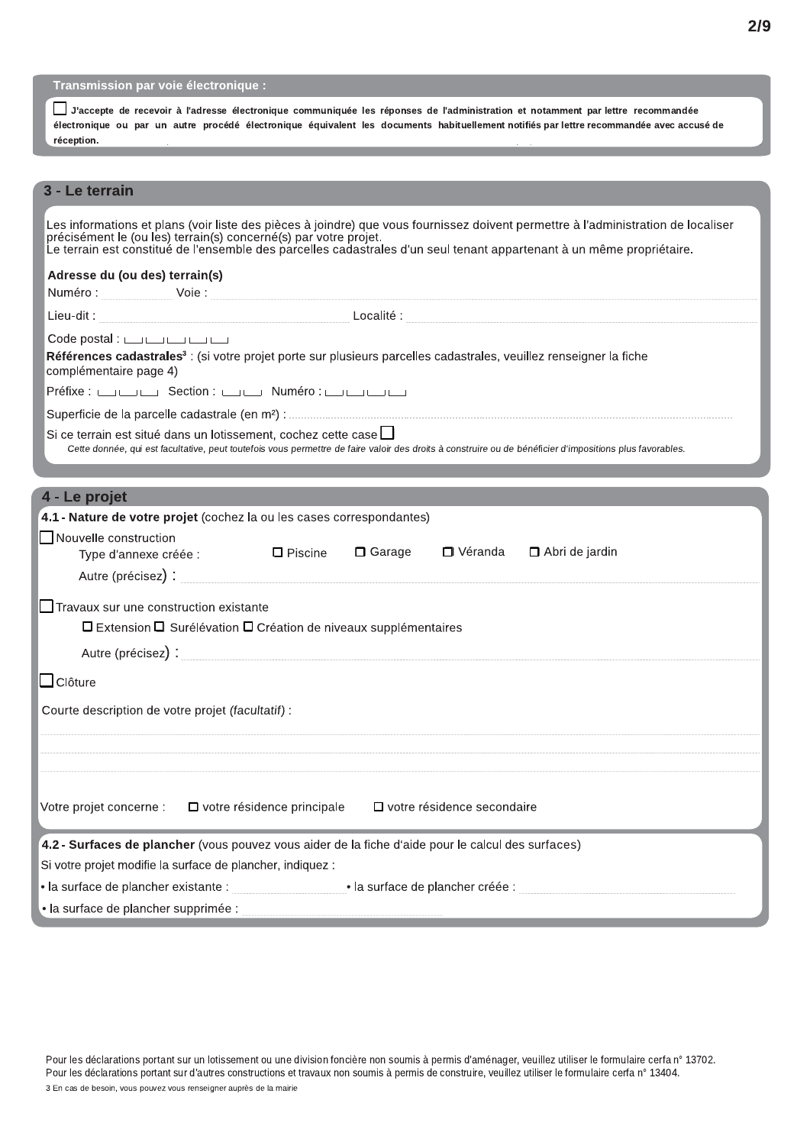| <b>Transmission par voie électronique :</b> |
|---------------------------------------------|
|                                             |

|            |  |  |  |  | J'accepte de recevoir à l'adresse électronique communiquée les réponses de l'administration et notamment par lettre recommandée          |  |  |
|------------|--|--|--|--|------------------------------------------------------------------------------------------------------------------------------------------|--|--|
|            |  |  |  |  | électronique ou par un autre procédé électronique équivalent les documents habituellement notifiés par lettre recommandée avec accusé de |  |  |
| réception. |  |  |  |  |                                                                                                                                          |  |  |
|            |  |  |  |  |                                                                                                                                          |  |  |
|            |  |  |  |  |                                                                                                                                          |  |  |

## 3 - Le terrain

|                                | Les informations et plans (voir liste des pièces à joindre) que vous fournissez doivent permettre à l'administration de localiser<br>précisément le (ou les) terrain(s) concerné(s) par votre projet.<br>Le terrain est constitué de l'ensemble des parcelles cadastrales d'un seul tenant appartenant à un même propriétaire. |
|--------------------------------|--------------------------------------------------------------------------------------------------------------------------------------------------------------------------------------------------------------------------------------------------------------------------------------------------------------------------------|
| Adresse du (ou des) terrain(s) |                                                                                                                                                                                                                                                                                                                                |
|                                |                                                                                                                                                                                                                                                                                                                                |
|                                |                                                                                                                                                                                                                                                                                                                                |
| complémentaire page 4)         | Code postal : $\Box$<br>Références cadastrales <sup>3</sup> : (si votre projet porte sur plusieurs parcelles cadastrales, veuillez renseigner la fiche                                                                                                                                                                         |
|                                | Préfixe : <b>Exercise</b> Section : <b>Exercise</b> Numéro : <b>Exercise</b>                                                                                                                                                                                                                                                   |
|                                |                                                                                                                                                                                                                                                                                                                                |
|                                | Si ce terrain est situé dans un lotissement, cochez cette case $\Box$<br>Cette donnée, qui est facultative, peut toutefois vous permettre de faire valoir des droits à construire ou de bénéficier d'impositions plus favorables.                                                                                              |
| 4 - Le projet                  |                                                                                                                                                                                                                                                                                                                                |
|                                | 4.1 - Nature de votre projet (cochez la ou les cases correspondantes)                                                                                                                                                                                                                                                          |
| Nouvelle construction          | Type d'annexe créée : $\Box$ Piscine<br>□ Garage<br>□ Véranda □ Abri de jardin                                                                                                                                                                                                                                                 |
|                                | $\Box$ Travaux sur une construction existante                                                                                                                                                                                                                                                                                  |
|                                | □ Extension □ Surélévation □ Création de niveaux supplémentaires                                                                                                                                                                                                                                                               |
|                                | Autre (précisez) : et al. et al. et al. et al. et al. et al. et al. et al. et al. et al. et al. et al. et al.                                                                                                                                                                                                                  |
| $\Box$ Clôture                 |                                                                                                                                                                                                                                                                                                                                |
|                                | Courte description de votre projet (facultatif) :                                                                                                                                                                                                                                                                              |
|                                |                                                                                                                                                                                                                                                                                                                                |
|                                | Votre projet concerne : $\Box$ votre résidence principale $\Box$ votre résidence secondaire                                                                                                                                                                                                                                    |
|                                | 4.2 - Surfaces de plancher (vous pouvez vous aider de la fiche d'aide pour le calcul des surfaces)                                                                                                                                                                                                                             |
|                                | Si votre projet modifie la surface de plancher, indiquez :                                                                                                                                                                                                                                                                     |
|                                | • la surface de plancher créée :                                                                                                                                                                                                                                                                                               |
|                                | • la surface de plancher supprimée :                                                                                                                                                                                                                                                                                           |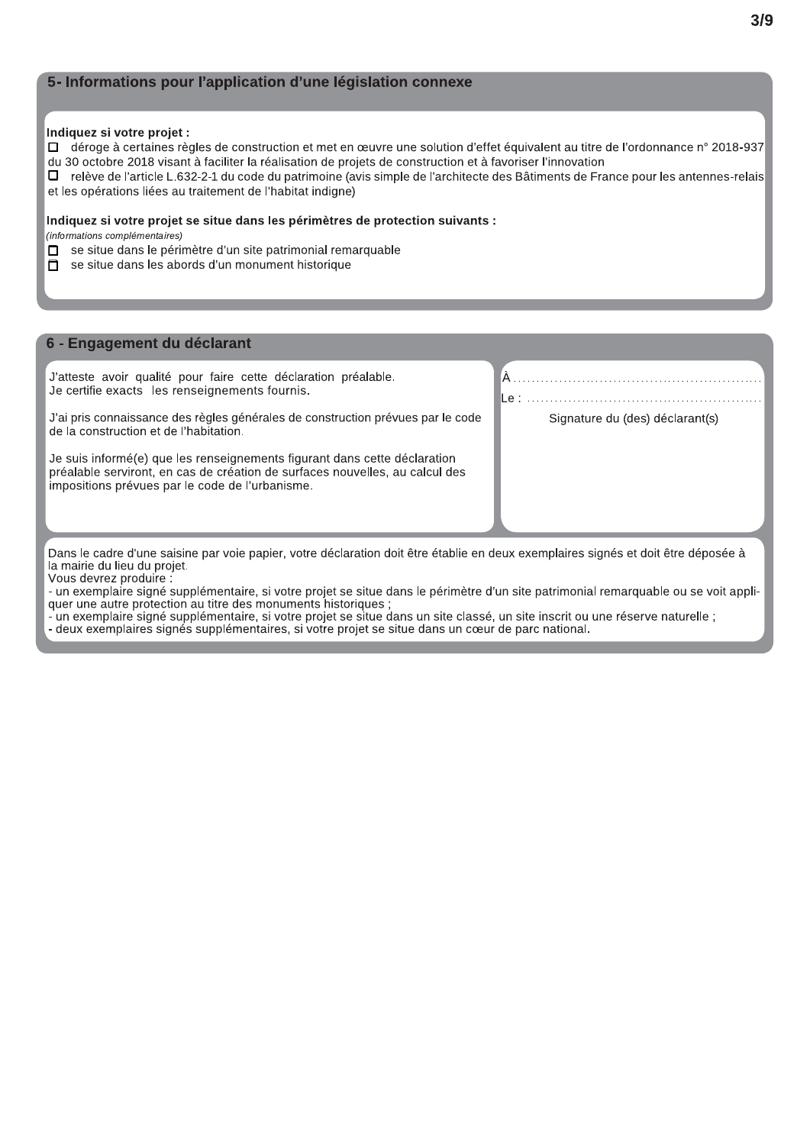## 5- Informations pour l'application d'une législation connexe

#### Indiquez si votre projet :

- □ déroge à certaines règles de construction et met en œuvre une solution d'effet équivalent au titre de l'ordonnance n° 2018-937
- du 30 octobre 2018 visant à faciliter la réalisation de projets de construction et à favoriser l'innovation

relève de l'article L.632-2-1 du code du patrimoine (avis simple de l'architecte des Bâtiments de France pour les antennes-relais  $\Box$ et les opérations liées au traitement de l'habitat indigne)

#### Indiquez si votre projet se situe dans les périmètres de protection suivants :

(informations complémentaires)

- se situe dans le périmètre d'un site patrimonial remarquable п
- se situe dans les abords d'un monument historique  $\Box$

#### 6 - Engagement du déclarant

J'atteste avoir qualité pour faire cette déclaration préalable. Je certifie exacts les renseignements fournis.

J'ai pris connaissance des règles générales de construction prévues par le code de la construction et de l'habitation.

Je suis informé(e) que les renseignements figurant dans cette déclaration préalable serviront, en cas de création de surfaces nouvelles, au calcul des impositions prévues par le code de l'urbanisme.

Signature du (des) déclarant(s)

۰ م ا

Dans le cadre d'une saisine par voie papier, votre déclaration doit être établie en deux exemplaires signés et doit être déposée à la mairie du lieu du projet.

Vous devrez produire :

- un exemplaire signé supplémentaire, si votre projet se situe dans le périmètre d'un site patrimonial remarguable ou se voit appliquer une autre protection au titre des monuments historiques ;<br>- un exemplaire signé supplémentaire, si votre projet se situe dans un site classé, un site inscrit ou une réserve naturelle ;

- deux exemplaires signés supplémentaires, si votre projet se situe dans un cœur de parc national.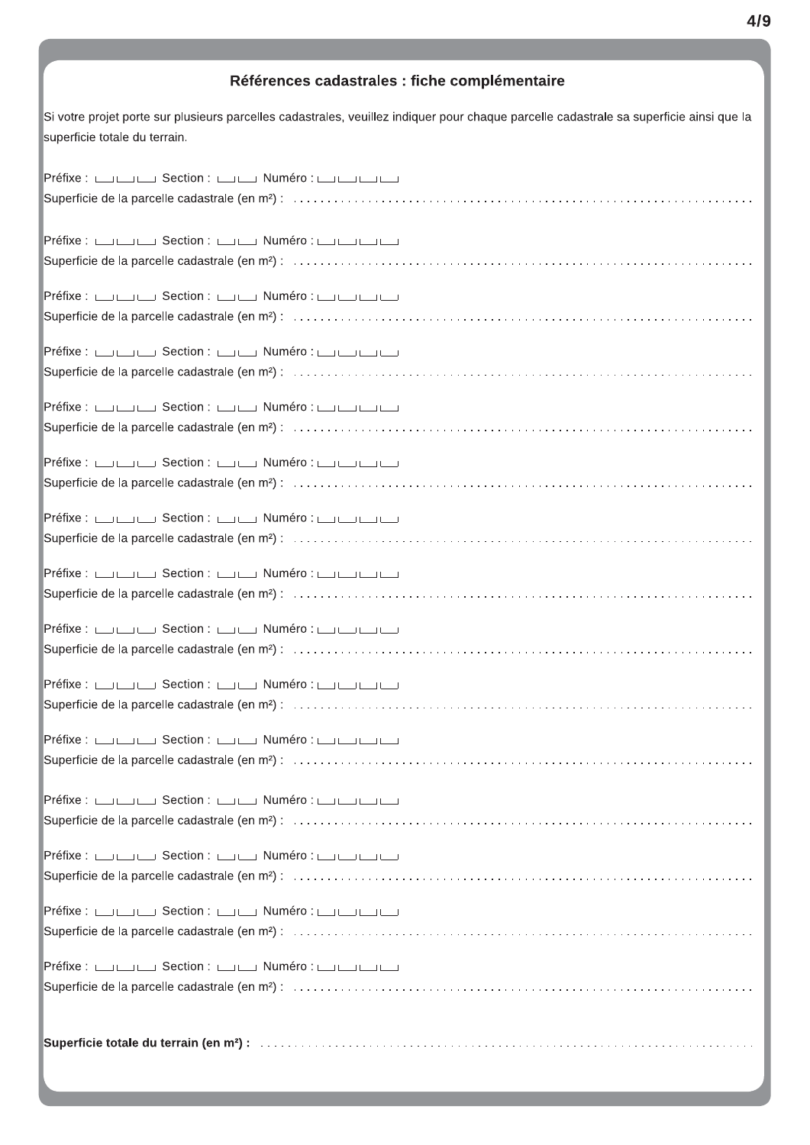## Références cadastrales : fiche complémentaire

Si votre projet porte sur plusieurs parcelles cadastrales, veuillez indiquer pour chaque parcelle cadastrale sa superficie ainsi que la superficie totale du terrain.

| Préfixe : صائب Section : صائب Numéro : صائب الصائب                                                   |
|------------------------------------------------------------------------------------------------------|
|                                                                                                      |
|                                                                                                      |
| Préfixe : صاحب Section : صاحب Numéro : صاحب الصاحب                                                   |
|                                                                                                      |
|                                                                                                      |
| Préfixe : صاب Section : صاب Numéro : صاب الصاحب ال                                                   |
|                                                                                                      |
|                                                                                                      |
| Préfixe : صاحب Section : صاحب Numéro : صاحب الصاحب                                                   |
|                                                                                                      |
|                                                                                                      |
| Préfixe : صاب Section : صاب Numéro : صاب الصاحب ال                                                   |
|                                                                                                      |
| Préfixe : روا Section : الكاني Numéro : الكاني الكانية التي المسابقة التي التي التي التي التي التي ا |
|                                                                                                      |
|                                                                                                      |
| Préfixe : صائب Section : صائب Numéro : صائب الصائب                                                   |
|                                                                                                      |
|                                                                                                      |
| Préfixe : صائب Section : صائب Numéro : صائب الصائب                                                   |
|                                                                                                      |
|                                                                                                      |
| Préfixe : صاحب Section : صاحب Numéro : صاحب الصاحب                                                   |
|                                                                                                      |
|                                                                                                      |
| Préfixe : صائب Section : صائب Numéro : صائب الصائب                                                   |
|                                                                                                      |
|                                                                                                      |
| Préfixe : رون Section : الكاني Numéro : الكاني الكانية التي المسابقة التي التي التي التي التي التي ا |
|                                                                                                      |
|                                                                                                      |
| Préfixe : صاحب Section : صاحب Numéro : صاحب الصاحب                                                   |
|                                                                                                      |
| Préfixe : صائب Section : صائب Numéro : صائب الصائب                                                   |
|                                                                                                      |
|                                                                                                      |
|                                                                                                      |
|                                                                                                      |
|                                                                                                      |
| Préfixe : صاب Section : صاب Numéro : صاب الصاحب ال                                                   |
|                                                                                                      |
|                                                                                                      |
|                                                                                                      |
|                                                                                                      |
|                                                                                                      |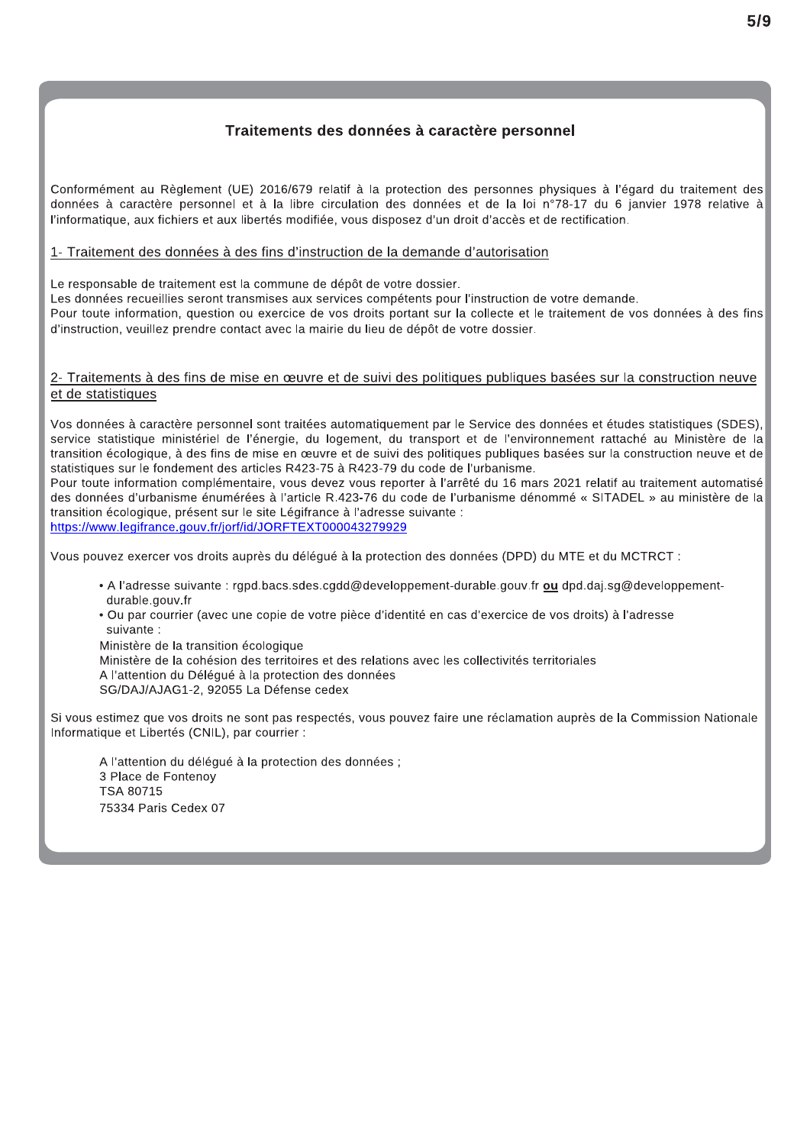## Traitements des données à caractère personnel

Conformément au Règlement (UE) 2016/679 relatif à la protection des personnes physiques à l'égard du traitement des données à caractère personnel et à la libre circulation des données et de la loi n°78-17 du 6 janvier 1978 relative à l'informatique, aux fichiers et aux libertés modifiée, vous disposez d'un droit d'accès et de rectification.

## 1- Traitement des données à des fins d'instruction de la demande d'autorisation

Le responsable de traitement est la commune de dépôt de votre dossier.

Les données recueillies seront transmises aux services compétents pour l'instruction de votre demande.

Pour toute information, question ou exercice de vos droits portant sur la collecte et le traitement de vos données à des fins d'instruction, veuillez prendre contact avec la mairie du lieu de dépôt de votre dossier.

## 2- Traitements à des fins de mise en œuvre et de suivi des politiques publiques basées sur la construction neuve et de statistiques

Vos données à caractère personnel sont traitées automatiquement par le Service des données et études statistiques (SDES), service statistique ministériel de l'énergie, du logement, du transport et de l'environnement rattaché au Ministère de la transition écologique, à des fins de mise en œuvre et de suivi des politiques publiques basées sur la construction neuve et de statistiques sur le fondement des articles R423-75 à R423-79 du code de l'urbanisme.

Pour toute information complémentaire, vous devez vous reporter à l'arrêté du 16 mars 2021 relatif au traitement automatisé des données d'urbanisme énumérées à l'article R.423-76 du code de l'urbanisme dénommé « SITADEL » au ministère de la transition écologique, présent sur le site Légifrance à l'adresse suivante : https://www.legifrance.gouv.fr/jorf/id/JORFTEXT000043279929

Vous pouvez exercer vos droits auprès du délégué à la protection des données (DPD) du MTE et du MCTRCT :

- A l'adresse suivante : rgpd.bacs.sdes.cgdd@developpement-durable.gouv.fr ou dpd.daj.sg@developpementdurable.gouv.fr
- · Ou par courrier (avec une copie de votre pièce d'identité en cas d'exercice de vos droits) à l'adresse suivante :

Ministère de la transition écologique Ministère de la cohésion des territoires et des relations avec les collectivités territoriales A l'attention du Délégué à la protection des données SG/DAJ/AJAG1-2, 92055 La Défense cedex

Si vous estimez que vos droits ne sont pas respectés, vous pouvez faire une réclamation auprès de la Commission Nationale Informatique et Libertés (CNIL), par courrier :

A l'attention du délégué à la protection des données ; 3 Place de Fontenov **TSA 80715** 75334 Paris Cedex 07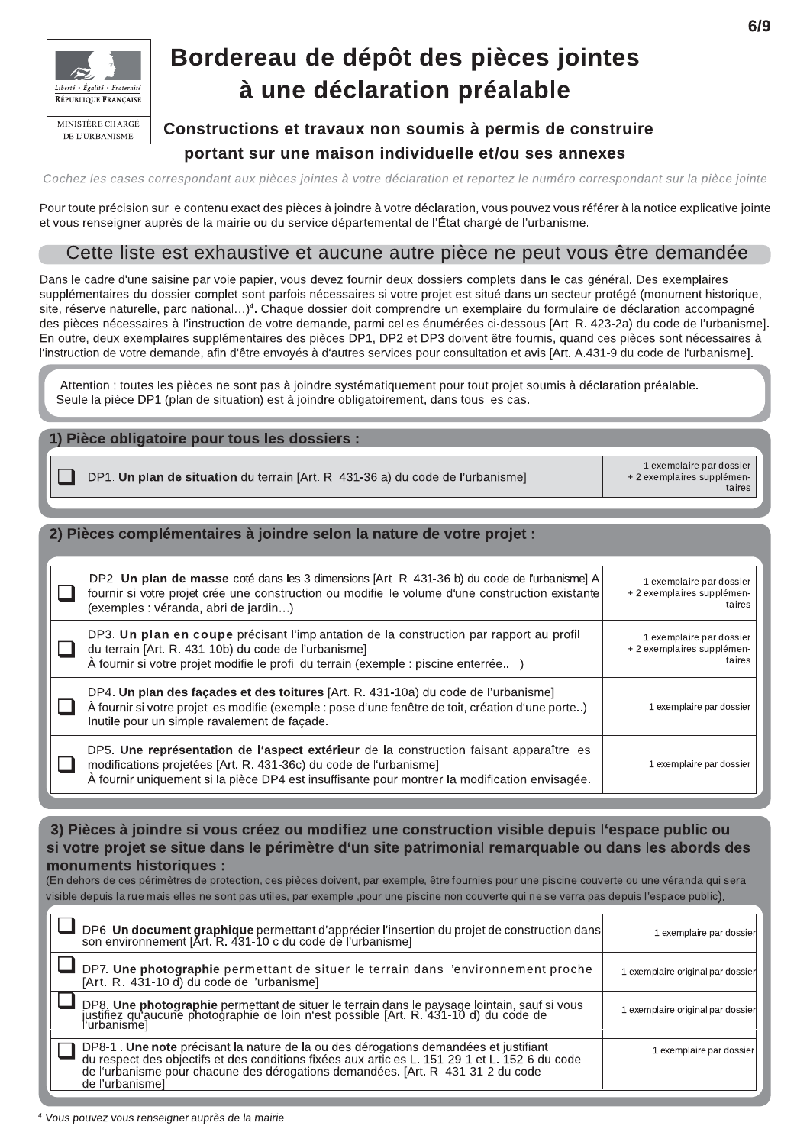

## Bordereau de dépôt des pièces jointes à une déclaration préalable

## Constructions et travaux non soumis à permis de construire portant sur une maison individuelle et/ou ses annexes

Cochez les cases correspondant aux pièces jointes à votre déclaration et reportez le numéro correspondant sur la pièce jointe

Pour toute précision sur le contenu exact des pièces à joindre à votre déclaration, vous pouvez vous référer à la notice explicative jointe et vous renseigner auprès de la mairie ou du service départemental de l'État chargé de l'urbanisme.

## Cette liste est exhaustive et aucune autre pièce ne peut vous être demandée

Dans le cadre d'une saisine par voie papier, vous devez fournir deux dossiers complets dans le cas général. Des exemplaires supplémentaires du dossier complet sont parfois nécessaires si votre projet est situé dans un secteur protégé (monument historique, site, réserve naturelle, parc national...)<sup>4</sup>. Chaque dossier doit comprendre un exemplaire du formulaire de déclaration accompagné des pièces nécessaires à l'instruction de votre demande, parmi celles énumérées ci-dessous [Art. R. 423-2a) du code de l'urbanisme]. En outre, deux exemplaires supplémentaires des pièces DP1, DP2 et DP3 doivent être fournis, quand ces pièces sont nécessaires à l'instruction de votre demande, afin d'être envoyés à d'autres services pour consultation et avis [Art. A.431-9 du code de l'urbanisme].

Attention : toutes les pièces ne sont pas à joindre systématiquement pour tout projet soumis à déclaration préalable. Seule la pièce DP1 (plan de situation) est à joindre obligatoirement, dans tous les cas.

## 1) Pièce obligatoire pour tous les dossiers :

|                                                                                 | 1 exemplaire par dossier   |
|---------------------------------------------------------------------------------|----------------------------|
| DP1. Un plan de situation du terrain [Art. R. 431-36 a) du code de l'urbanisme] | + 2 exemplaires supplémen- |

## 2) Pièces complémentaires à joindre selon la nature de votre projet :

| DP2. Un plan de masse coté dans les 3 dimensions [Art. R. 431-36 b) du code de l'urbanisme] A<br>fournir si votre projet crée une construction ou modifie le volume d'une construction existante<br>(exemples : véranda, abri de jardin)                      | 1 exemplaire par dossier<br>+ 2 exemplaires supplémen-<br>taires |
|---------------------------------------------------------------------------------------------------------------------------------------------------------------------------------------------------------------------------------------------------------------|------------------------------------------------------------------|
| DP3. Un plan en coupe précisant l'implantation de la construction par rapport au profil<br>du terrain [Art. R. 431-10b) du code de l'urbanisme]<br>À fournir si votre projet modifie le profil du terrain (exemple : piscine enterrée)                        | 1 exemplaire par dossier<br>+ 2 exemplaires supplémen-<br>taires |
| DP4. Un plan des façades et des toitures [Art. R. 431-10a) du code de l'urbanisme]<br>À fournir si votre projet les modifie (exemple : pose d'une fenêtre de toit, création d'une porte).<br>Inutile pour un simple ravalement de façade.                     | 1 exemplaire par dossier                                         |
| DP5. Une représentation de l'aspect extérieur de la construction faisant apparaître les<br>modifications projetées [Art. R. 431-36c) du code de l'urbanisme]<br>À fournir uniquement si la pièce DP4 est insuffisante pour montrer la modification envisagée. | 1 exemplaire par dossier                                         |

## 3) Pièces à joindre si vous créez ou modifiez une construction visible depuis l'espace public ou si votre projet se situe dans le périmètre d'un site patrimonial remarquable ou dans les abords des monuments historiques :

(En dehors de ces périmètres de protection, ces pièces doivent, par exemple, être fournies pour une piscine couverte ou une véranda qui sera visible depuis la rue mais elles ne sont pas utiles, par exemple ,pour une piscine non couverte qui ne se verra pas depuis l'espace public).

| DP6. Un document graphique permettant d'apprécier l'insertion du projet de construction dans<br>son environnement [Art. R. 431-10 c du code de l'urbanisme]                                                                                                                                   | 1 exemplaire par dossier          |
|-----------------------------------------------------------------------------------------------------------------------------------------------------------------------------------------------------------------------------------------------------------------------------------------------|-----------------------------------|
| DP7. Une photographie permettant de situer le terrain dans l'environnement proche<br>[Art. R. 431-10 d) du code de l'urbanisme]                                                                                                                                                               | 1 exemplaire original par dossier |
| DP8. Une photographie permettant de situer le terrain dans le paysage lointain, sauf si vous<br>justifiez qu'aucune photographie de loin n'est possible [Art. R. 431-10 d) du code de<br>l'urbanisme]                                                                                         | 1 exemplaire original par dossier |
| DP8-1. Une note précisant la nature de la ou des dérogations demandées et justifiant<br>du respect des objectifs et des conditions fixées aux articles L. 151-29-1 et L. 152-6 du code<br>de l'urbanisme pour chacune des dérogations demandées. [Art. R. 431-31-2 du code<br>de l'urbanismel | 1 exemplaire par dossier          |

taires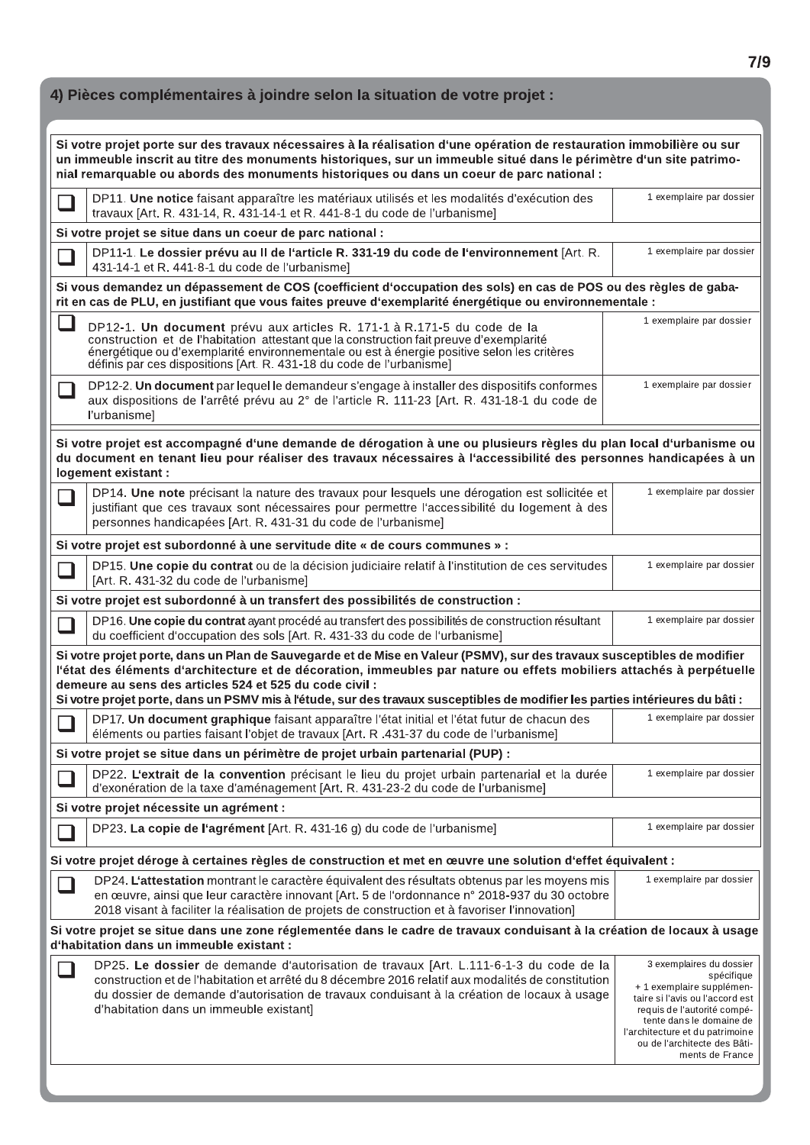|               | 4) Pièces complémentaires à joindre selon la situation de votre projet :                                                                                                                                                                                                                                                                                                                                                                    |                                                                                                                                                                                                                                                         |
|---------------|---------------------------------------------------------------------------------------------------------------------------------------------------------------------------------------------------------------------------------------------------------------------------------------------------------------------------------------------------------------------------------------------------------------------------------------------|---------------------------------------------------------------------------------------------------------------------------------------------------------------------------------------------------------------------------------------------------------|
|               | Si votre projet porte sur des travaux nécessaires à la réalisation d'une opération de restauration immobilière ou sur<br>un immeuble inscrit au titre des monuments historiques, sur un immeuble situé dans le périmètre d'un site patrimo-<br>nial remarquable ou abords des monuments historiques ou dans un coeur de parc national :                                                                                                     |                                                                                                                                                                                                                                                         |
|               | DP11. Une notice faisant apparaître les matériaux utilisés et les modalités d'exécution des<br>travaux [Art. R. 431-14, R. 431-14-1 et R. 441-8-1 du code de l'urbanisme]                                                                                                                                                                                                                                                                   | 1 exemplaire par dossier                                                                                                                                                                                                                                |
|               | Si votre projet se situe dans un coeur de parc national :                                                                                                                                                                                                                                                                                                                                                                                   |                                                                                                                                                                                                                                                         |
| $\mathcal{A}$ | DP11-1. Le dossier prévu au II de l'article R. 331-19 du code de l'environnement [Art. R.<br>431-14-1 et R. 441-8-1 du code de l'urbanisme]                                                                                                                                                                                                                                                                                                 | 1 exemplaire par dossier                                                                                                                                                                                                                                |
|               | Si vous demandez un dépassement de COS (coefficient d'occupation des sols) en cas de POS ou des règles de gaba-<br>rit en cas de PLU, en justifiant que vous faites preuve d'exemplarité énergétique ou environnementale :                                                                                                                                                                                                                  |                                                                                                                                                                                                                                                         |
|               | DP12-1. Un document prévu aux articles R. 171-1 à R.171-5 du code de la<br>construction et de l'habitation attestant que la construction fait preuve d'exemplarité<br>énergétique ou d'exemplarité environnementale ou est à énergie positive selon les critères<br>définis par ces dispositions [Art. R. 431-18 du code de l'urbanisme]                                                                                                    | 1 exemplaire par dossier                                                                                                                                                                                                                                |
|               | DP12-2. Un document par lequel le demandeur s'engage à installer des dispositifs conformes<br>aux dispositions de l'arrêté prévu au 2° de l'article R. 111-23 [Art. R. 431-18-1 du code de<br>l'urbanisme]                                                                                                                                                                                                                                  | 1 exemplaire par dossier                                                                                                                                                                                                                                |
|               | Si votre projet est accompagné d'une demande de dérogation à une ou plusieurs règles du plan local d'urbanisme ou<br>du document en tenant lieu pour réaliser des travaux nécessaires à l'accessibilité des personnes handicapées à un<br>logement existant :                                                                                                                                                                               |                                                                                                                                                                                                                                                         |
| $\Box$        | DP14. Une note précisant la nature des travaux pour lesquels une dérogation est sollicitée et<br>justifiant que ces travaux sont nécessaires pour permettre l'accessibilité du logement à des<br>personnes handicapées [Art. R. 431-31 du code de l'urbanisme]                                                                                                                                                                              | 1 exemplaire par dossier                                                                                                                                                                                                                                |
|               | Si votre projet est subordonné à une servitude dite « de cours communes » :                                                                                                                                                                                                                                                                                                                                                                 |                                                                                                                                                                                                                                                         |
|               | DP15. Une copie du contrat ou de la décision judiciaire relatif à l'institution de ces servitudes<br>[Art. R. 431-32 du code de l'urbanisme]                                                                                                                                                                                                                                                                                                | 1 exemplaire par dossier                                                                                                                                                                                                                                |
|               | Si votre projet est subordonné à un transfert des possibilités de construction :                                                                                                                                                                                                                                                                                                                                                            |                                                                                                                                                                                                                                                         |
| $\Box$        | DP16. Une copie du contrat ayant procédé au transfert des possibilités de construction résultant<br>du coefficient d'occupation des sols [Art. R. 431-33 du code de l'urbanisme]                                                                                                                                                                                                                                                            | 1 exemplaire par dossier                                                                                                                                                                                                                                |
|               | Si votre projet porte, dans un Plan de Sauvegarde et de Mise en Valeur (PSMV), sur des travaux susceptibles de modifier<br>l'état des éléments d'architecture et de décoration, immeubles par nature ou effets mobiliers attachés à perpétuelle<br>demeure au sens des articles 524 et 525 du code civil :<br>Si votre projet porte, dans un PSMV mis à l'étude, sur des travaux susceptibles de modifier les parties intérieures du bâti : |                                                                                                                                                                                                                                                         |
|               | DP17. Un document graphique faisant apparaître l'état initial et l'état futur de chacun des<br>éléments ou parties faisant l'objet de travaux [Art. R.431-37 du code de l'urbanisme]                                                                                                                                                                                                                                                        | 1 exemplaire par dossier                                                                                                                                                                                                                                |
|               | Si votre projet se situe dans un périmètre de projet urbain partenarial (PUP) :                                                                                                                                                                                                                                                                                                                                                             |                                                                                                                                                                                                                                                         |
|               | DP22. L'extrait de la convention précisant le lieu du projet urbain partenarial et la durée<br>d'exonération de la taxe d'aménagement [Art. R. 431-23-2 du code de l'urbanisme]                                                                                                                                                                                                                                                             | 1 exemplaire par dossier                                                                                                                                                                                                                                |
|               | Si votre projet nécessite un agrément :                                                                                                                                                                                                                                                                                                                                                                                                     |                                                                                                                                                                                                                                                         |
|               | DP23. La copie de l'agrément [Art. R. 431-16 g) du code de l'urbanisme]                                                                                                                                                                                                                                                                                                                                                                     | 1 exemplaire par dossier                                                                                                                                                                                                                                |
|               | Si votre projet déroge à certaines règles de construction et met en œuvre une solution d'effet équivalent :                                                                                                                                                                                                                                                                                                                                 |                                                                                                                                                                                                                                                         |
|               | DP24. L'attestation montrant le caractère équivalent des résultats obtenus par les moyens mis<br>en œuvre, ainsi que leur caractère innovant [Art. 5 de l'ordonnance n° 2018-937 du 30 octobre<br>2018 visant à faciliter la réalisation de projets de construction et à favoriser l'innovation]                                                                                                                                            | 1 exemplaire par dossier                                                                                                                                                                                                                                |
|               | Si votre projet se situe dans une zone réglementée dans le cadre de travaux conduisant à la création de locaux à usage<br>d'habitation dans un immeuble existant :                                                                                                                                                                                                                                                                          |                                                                                                                                                                                                                                                         |
|               | DP25. Le dossier de demande d'autorisation de travaux [Art. L.111-6-1-3 du code de la<br>construction et de l'habitation et arrêté du 8 décembre 2016 relatif aux modalités de constitution<br>du dossier de demande d'autorisation de travaux conduisant à la création de locaux à usage<br>d'habitation dans un immeuble existant]                                                                                                        | 3 exemplaires du dossier<br>spécifique<br>+ 1 exemplaire supplémen-<br>taire si l'avis ou l'accord est<br>requis de l'autorité compé-<br>tente dans le domaine de<br>l'architecture et du patrimoine<br>ou de l'architecte des Bâti-<br>ments de France |
|               |                                                                                                                                                                                                                                                                                                                                                                                                                                             |                                                                                                                                                                                                                                                         |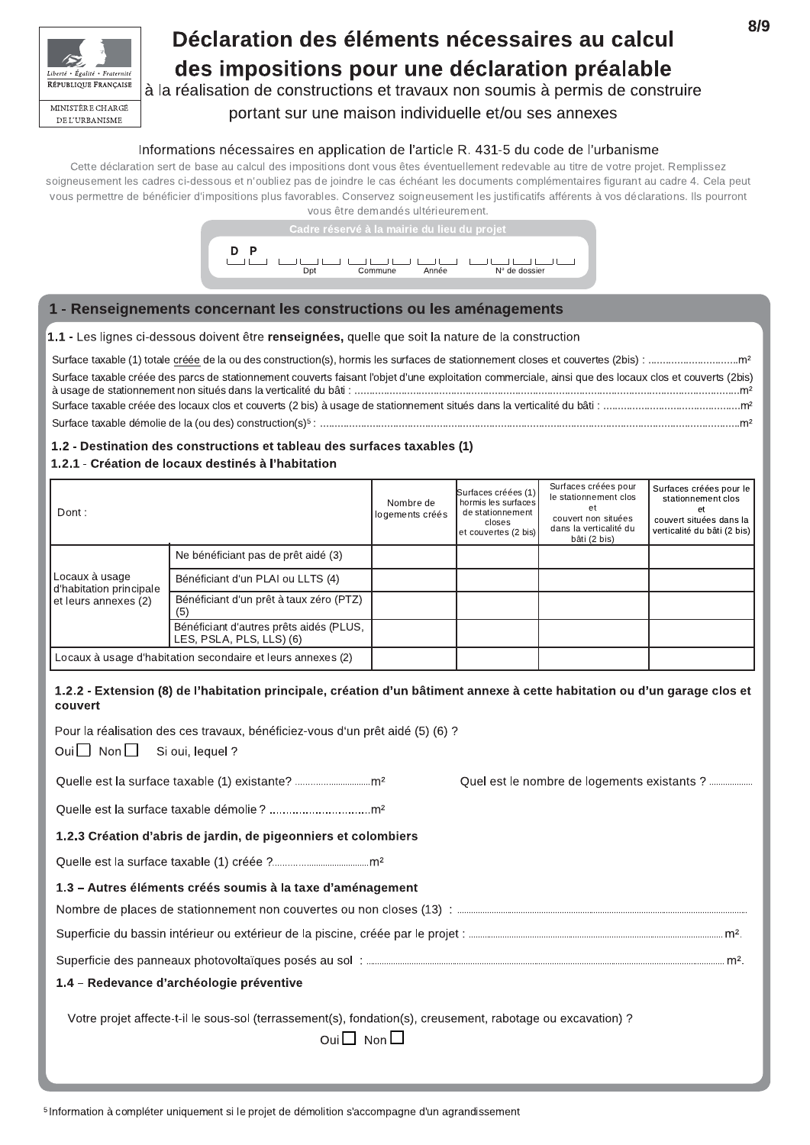

## Déclaration des éléments nécessaires au calcul des impositions pour une déclaration préalable

à la réalisation de constructions et travaux non soumis à permis de construire

## portant sur une maison individuelle et/ou ses annexes

## Informations nécessaires en application de l'article R. 431-5 du code de l'urbanisme

Cette déclaration sert de base au calcul des impositions dont vous êtes éventuellement redevable au titre de votre projet. Remplissez soigneusement les cadres ci-dessous et n'oubliez pas de joindre le cas échéant les documents complémentaires figurant au cadre 4. Cela peut vous permettre de bénéficier d'impositions plus favorables. Conservez soigneusement les justificatifs afférents à vos déclarations. Ils pourront vous être demandés ultérieurement.



## 1 - Renseignements concernant les constructions ou les aménagements

### 1.1 - Les lignes ci-dessous doivent être renseignées, quelle que soit la nature de la construction

| Surface taxable créée des parcs de stationnement couverts faisant l'objet d'une exploitation commerciale, ainsi que des locaux clos et couverts (2bis) |  |
|--------------------------------------------------------------------------------------------------------------------------------------------------------|--|
|                                                                                                                                                        |  |
|                                                                                                                                                        |  |

## 1.2 - Destination des constructions et tableau des surfaces taxables (1)

### 1.2.1 - Création de locaux destinés à l'habitation

| Dont:                                                       |                                                                     | Nombre de<br>logements créés | Surfaces créées (1)<br>hormis les surfaces<br>de stationnement<br>closes<br>et couvertes (2 bis) | Surfaces créées pour<br>le stationnement clos<br>et<br>couvert non situées<br>dans la verticalité du<br>bâti (2 bis) | Surfaces créées pour le<br>stationnement clos<br>et<br>couvert situées dans la<br>verticalité du bâti (2 bis) |
|-------------------------------------------------------------|---------------------------------------------------------------------|------------------------------|--------------------------------------------------------------------------------------------------|----------------------------------------------------------------------------------------------------------------------|---------------------------------------------------------------------------------------------------------------|
|                                                             | Ne bénéficiant pas de prêt aidé (3)                                 |                              |                                                                                                  |                                                                                                                      |                                                                                                               |
| Locaux à usage<br>d'habitation principale                   | Bénéficiant d'un PLAI ou LLTS (4)                                   |                              |                                                                                                  |                                                                                                                      |                                                                                                               |
| et leurs annexes (2)                                        | Bénéficiant d'un prêt à taux zéro (PTZ)<br>(5)                      |                              |                                                                                                  |                                                                                                                      |                                                                                                               |
|                                                             | Bénéficiant d'autres prêts aidés (PLUS,<br>LES, PSLA, PLS, LLS) (6) |                              |                                                                                                  |                                                                                                                      |                                                                                                               |
| Locaux à usage d'habitation secondaire et leurs annexes (2) |                                                                     |                              |                                                                                                  |                                                                                                                      |                                                                                                               |

### 1.2.2 - Extension (8) de l'habitation principale, création d'un bâtiment annexe à cette habitation ou d'un garage clos et couvert

| Pour la réalisation des ces travaux, bénéficiez-vous d'un prêt aidé (5) (6) ?<br>Oui $\Box$ Non $\Box$ Si oui, lequel ?                    |                                             |
|--------------------------------------------------------------------------------------------------------------------------------------------|---------------------------------------------|
|                                                                                                                                            | Quel est le nombre de logements existants ? |
|                                                                                                                                            |                                             |
| 1.2.3 Création d'abris de jardin, de pigeonniers et colombiers                                                                             |                                             |
|                                                                                                                                            |                                             |
| 1.3 – Autres éléments créés soumis à la taxe d'aménagement                                                                                 |                                             |
|                                                                                                                                            |                                             |
|                                                                                                                                            |                                             |
|                                                                                                                                            |                                             |
| 1.4 – Redevance d'archéologie préventive                                                                                                   |                                             |
| Votre projet affecte-t-il le sous-sol (terrassement(s), fondation(s), creusement, rabotage ou excavation) ?<br>Oui $\square$ Non $\square$ |                                             |

<sup>5</sup> Information à compléter uniquement si le projet de démolition s'accompagne d'un agrandissement